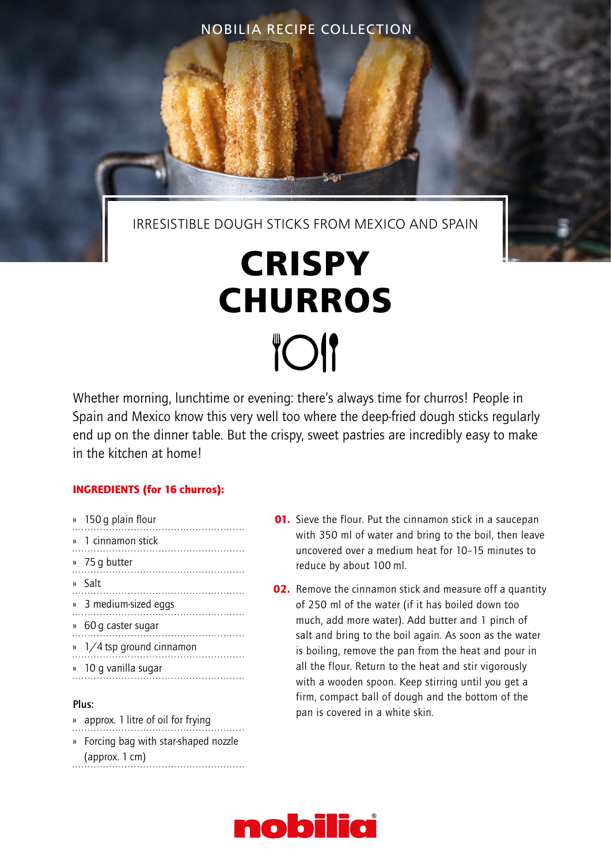NOBILIA RECIPE COLLECTION

IRRESISTIBLE DOUGH STICKS FROM MEXICO AND SPAIN

# **CRISPY CHURROS TOI**

Whether morning, lunchtime or evening: there's always time for churros! People in Spain and Mexico know this very well too where the deep-fried dough sticks regularly end up on the dinner table. But the crispy, sweet pastries are incredibly easy to make in the kitchen at home!

### INGREDIENTS (for 16 churros):

- » 150 g plain flour
- » 1 cinnamon stick
- » 75 g butter
- 
- » Salt
- » 3 medium-sized eggs
- » 60 g caster sugar
- » 1/4 tsp ground cinnamon
- » 10 g vanilla sugar

#### Plus:

» approx. 1 litre of oil for frying » Forcing bag with star-shaped nozzle (approx. 1 cm)

- **01.** Sieve the flour. Put the cinnamon stick in a saucepan with 350 ml of water and bring to the boil, then leave uncovered over a medium heat for 10–15 minutes to reduce by about 100 ml.
- **02.** Remove the cinnamon stick and measure off a quantity of 250 ml of the water (if it has boiled down too much, add more water). Add butter and 1 pinch of salt and bring to the boil again. As soon as the water is boiling, remove the pan from the heat and pour in all the flour. Return to the heat and stir vigorously with a wooden spoon. Keep stirring until you get a firm, compact ball of dough and the bottom of the pan is covered in a white skin.